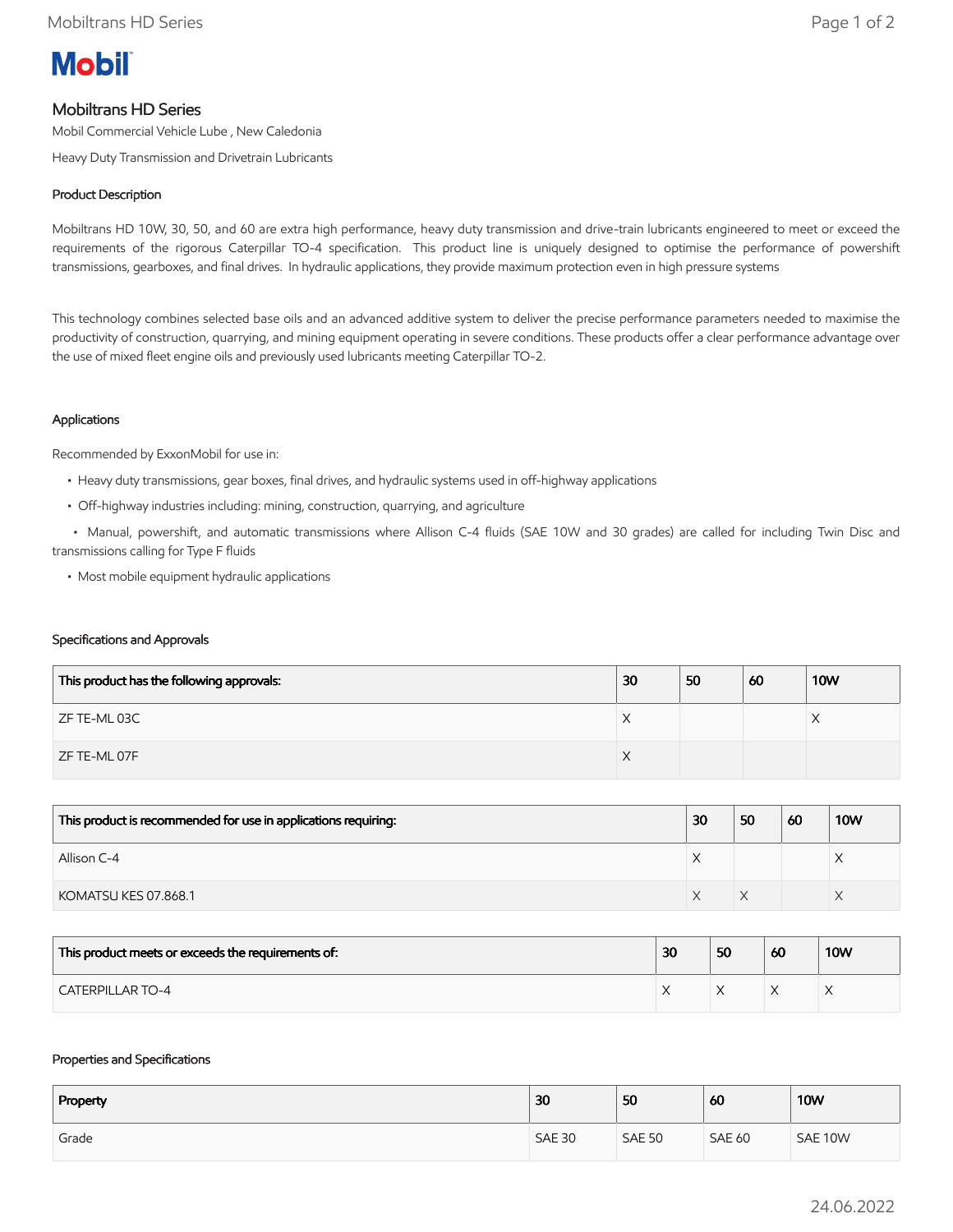# **Mobil**

## Mobiltrans HD Series

Mobil Commercial Vehicle Lube , New Caledonia

Heavy Duty Transmission and Drivetrain Lubricants

### Product Description

Mobiltrans HD 10W, 30, 50, and 60 are extra high performance, heavy duty transmission and drive-train lubricants engineered to meet or exceed the requirements of the rigorous Caterpillar TO-4 specification. This product line is uniquely designed to optimise the performance of powershift transmissions, gearboxes, and final drives. In hydraulic applications, they provide maximum protection even in high pressure systems

This technology combines selected base oils and an advanced additive system to deliver the precise performance parameters needed to maximise the productivity of construction, quarrying, and mining equipment operating in severe conditions. These products offer a clear performance advantage over the use of mixed fleet engine oils and previously used lubricants meeting Caterpillar TO-2.

#### Applications

Recommended by ExxonMobil for use in:

- Heavy duty transmissions, gear boxes, final drives, and hydraulic systems used in off-highway applications
- Off-highway industries including: mining, construction, quarrying, and agriculture

 • Manual, powershift, and automatic transmissions where Allison C-4 fluids (SAE 10W and 30 grades) are called for including Twin Disc and transmissions calling for Type F fluids

• Most mobile equipment hydraulic applications

#### Specifications and Approvals

| This product has the following approvals: | 30 | 50 | 60 | <b>10W</b> |
|-------------------------------------------|----|----|----|------------|
| ZF TE-ML 03C                              | X  |    |    |            |
| ZF TE-ML 07F                              | ⋏  |    |    |            |

| This product is recommended for use in applications requiring: | 30         | 50 | 60 | <b>10W</b> |
|----------------------------------------------------------------|------------|----|----|------------|
| Allison C-4                                                    | $\sqrt{ }$ |    |    |            |
| KOMATSU KES 07.868.1                                           |            |    |    |            |

| This product meets or exceeds the requirements of: | 30 | 50 | 60 | <b>10W</b> |
|----------------------------------------------------|----|----|----|------------|
| <b>CATERPILLAR TO-4</b>                            |    |    |    |            |

#### Properties and Specifications

| Property | 30            | 50            | 60            | <b>10W</b> |
|----------|---------------|---------------|---------------|------------|
| Grade    | <b>SAE 30</b> | <b>SAE 50</b> | <b>SAE 60</b> | SAE 10W    |